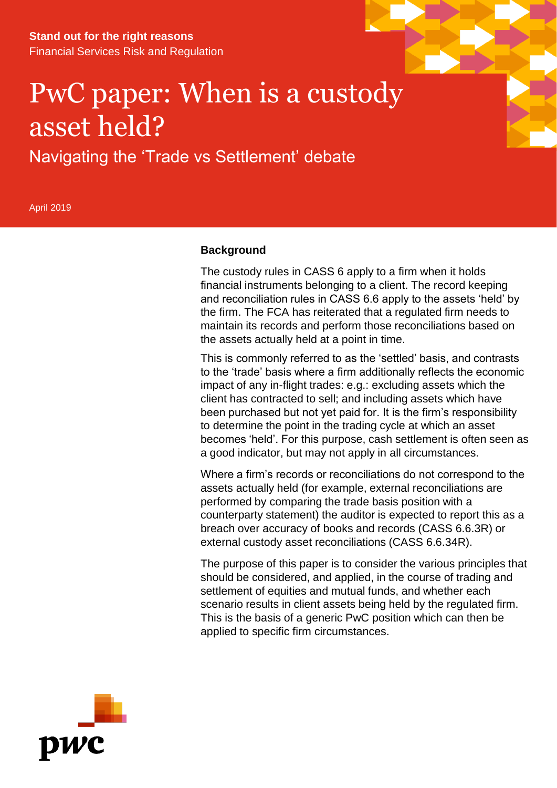**Stand out for the right reasons** Financial Services Risk and Regulation

# PwC paper: When is a custody asset held?

Navigating the 'Trade vs Settlement' debate

April 2019

## **Background**

The custody rules in CASS 6 apply to a firm when it holds financial instruments belonging to a client. The record keeping and reconciliation rules in CASS 6.6 apply to the assets 'held' by the firm. The FCA has reiterated that a regulated firm needs to maintain its records and perform those reconciliations based on the assets actually held at a point in time.

This is commonly referred to as the 'settled' basis, and contrasts to the 'trade' basis where a firm additionally reflects the economic impact of any in-flight trades: e.g.: excluding assets which the client has contracted to sell; and including assets which have been purchased but not yet paid for. It is the firm's responsibility to determine the point in the trading cycle at which an asset becomes 'held'. For this purpose, cash settlement is often seen as a good indicator, but may not apply in all circumstances.

Where a firm's records or reconciliations do not correspond to the assets actually held (for example, external reconciliations are performed by comparing the trade basis position with a counterparty statement) the auditor is expected to report this as a breach over accuracy of books and records (CASS 6.6.3R) or external custody asset reconciliations (CASS 6.6.34R).

The purpose of this paper is to consider the various principles that should be considered, and applied, in the course of trading and settlement of equities and mutual funds, and whether each scenario results in client assets being held by the regulated firm. This is the basis of a generic PwC position which can then be applied to specific firm circumstances.

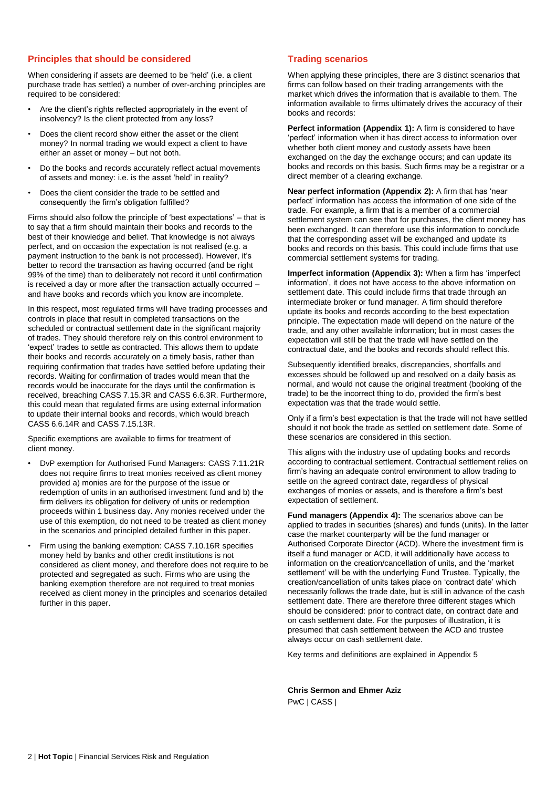## **Principles that should be considered**

When considering if assets are deemed to be 'held' (i.e. a client purchase trade has settled) a number of over-arching principles are required to be considered:

- Are the client's rights reflected appropriately in the event of insolvency? Is the client protected from any loss?
- Does the client record show either the asset or the client money? In normal trading we would expect a client to have either an asset or money – but not both.
- Do the books and records accurately reflect actual movements of assets and money: i.e. is the asset 'held' in reality?
- Does the client consider the trade to be settled and consequently the firm's obligation fulfilled?

Firms should also follow the principle of 'best expectations' – that is to say that a firm should maintain their books and records to the best of their knowledge and belief. That knowledge is not always perfect, and on occasion the expectation is not realised (e.g. a payment instruction to the bank is not processed). However, it's better to record the transaction as having occurred (and be right 99% of the time) than to deliberately not record it until confirmation is received a day or more after the transaction actually occurred – and have books and records which you know are incomplete.

In this respect, most regulated firms will have trading processes and controls in place that result in completed transactions on the scheduled or contractual settlement date in the significant majority of trades. They should therefore rely on this control environment to 'expect' trades to settle as contracted. This allows them to update their books and records accurately on a timely basis, rather than requiring confirmation that trades have settled before updating their records. Waiting for confirmation of trades would mean that the records would be inaccurate for the days until the confirmation is received, breaching CASS 7.15.3R and CASS 6.6.3R. Furthermore, this could mean that regulated firms are using external information to update their internal books and records, which would breach CASS 6.6.14R and CASS 7.15.13R.

Specific exemptions are available to firms for treatment of client money.

- DvP exemption for Authorised Fund Managers: CASS 7.11.21R does not require firms to treat monies received as client money provided a) monies are for the purpose of the issue or redemption of units in an authorised investment fund and b) the firm delivers its obligation for delivery of units or redemption proceeds within 1 business day. Any monies received under the use of this exemption, do not need to be treated as client money in the scenarios and principled detailed further in this paper.
- Firm using the banking exemption: CASS 7.10.16R specifies money held by banks and other credit institutions is not considered as client money, and therefore does not require to be protected and segregated as such. Firms who are using the banking exemption therefore are not required to treat monies received as client money in the principles and scenarios detailed further in this paper.

## **Trading scenarios**

When applying these principles, there are 3 distinct scenarios that firms can follow based on their trading arrangements with the market which drives the information that is available to them. The information available to firms ultimately drives the accuracy of their books and records:

Perfect information (Appendix 1): A firm is considered to have 'perfect' information when it has direct access to information over whether both client money and custody assets have been exchanged on the day the exchange occurs; and can update its books and records on this basis. Such firms may be a registrar or a direct member of a clearing exchange.

**Near perfect information (Appendix 2):** A firm that has 'near perfect' information has access the information of one side of the trade. For example, a firm that is a member of a commercial settlement system can see that for purchases, the client money has been exchanged. It can therefore use this information to conclude that the corresponding asset will be exchanged and update its books and records on this basis. This could include firms that use commercial settlement systems for trading.

**Imperfect information (Appendix 3):** When a firm has 'imperfect information', it does not have access to the above information on settlement date. This could include firms that trade through an intermediate broker or fund manager. A firm should therefore update its books and records according to the best expectation principle. The expectation made will depend on the nature of the trade, and any other available information; but in most cases the expectation will still be that the trade will have settled on the contractual date, and the books and records should reflect this.

Subsequently identified breaks, discrepancies, shortfalls and excesses should be followed up and resolved on a daily basis as normal, and would not cause the original treatment (booking of the trade) to be the incorrect thing to do, provided the firm's best expectation was that the trade would settle.

Only if a firm's best expectation is that the trade will not have settled should it not book the trade as settled on settlement date. Some of these scenarios are considered in this section.

This aligns with the industry use of updating books and records according to contractual settlement. Contractual settlement relies on firm's having an adequate control environment to allow trading to settle on the agreed contract date, regardless of physical exchanges of monies or assets, and is therefore a firm's best expectation of settlement.

**Fund managers (Appendix 4):** The scenarios above can be applied to trades in securities (shares) and funds (units). In the latter case the market counterparty will be the fund manager or Authorised Corporate Director (ACD). Where the investment firm is itself a fund manager or ACD, it will additionally have access to information on the creation/cancellation of units, and the 'market settlement' will be with the underlying Fund Trustee. Typically, the creation/cancellation of units takes place on 'contract date' which necessarily follows the trade date, but is still in advance of the cash settlement date. There are therefore three different stages which should be considered: prior to contract date, on contract date and on cash settlement date. For the purposes of illustration, it is presumed that cash settlement between the ACD and trustee always occur on cash settlement date.

Key terms and definitions are explained in Appendix 5

**Chris Sermon and Ehmer Aziz** PwC | CASS |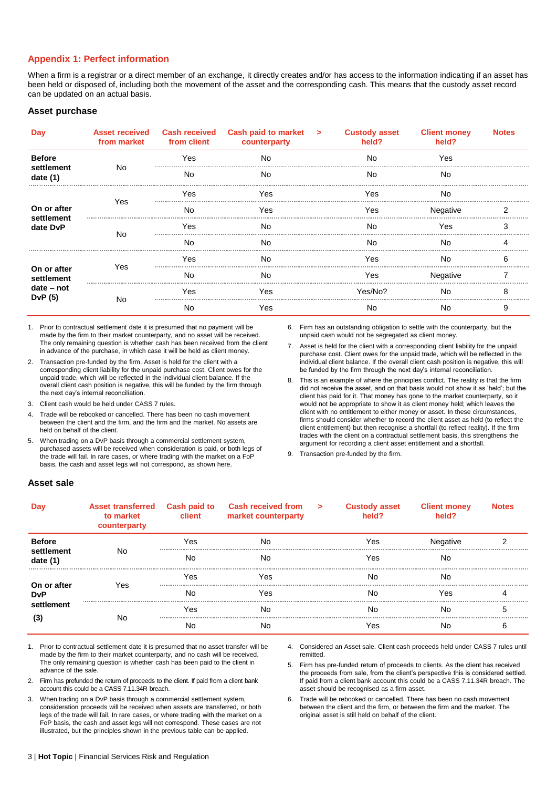## **Appendix 1: Perfect information**

When a firm is a registrar or a direct member of an exchange, it directly creates and/or has access to the information indicating if an asset has been held or disposed of, including both the movement of the asset and the corresponding cash. This means that the custody asset record can be updated on an actual basis.

#### **Asset purchase**

|                                                   | <b>Asset received</b><br>from market from client |     | Cash received Cash paid to market > Custody asset<br>counterparty | held?   | <b>Client money</b><br>held? | <b>Notes</b> |
|---------------------------------------------------|--------------------------------------------------|-----|-------------------------------------------------------------------|---------|------------------------------|--------------|
| <b>Before</b>                                     |                                                  | Yes | N٥                                                                | N٥      | Yes                          |              |
| settlement<br>date $(1)$                          | N٥                                               | N٥  | No                                                                | No.     | No                           |              |
|                                                   |                                                  | Yes | Y A.S                                                             | es /    | N٥                           |              |
| On or after                                       | Yes                                              | No  | Yes                                                               | Yes     | Negative                     |              |
| settlement<br>date DvP                            | No                                               | Yes | N٥                                                                | N٥      | ∕es                          |              |
|                                                   |                                                  | N٥  | No                                                                | No.     | N٥                           |              |
| On or after<br>settlement<br>date - not<br>DvP(5) |                                                  | Yes | N٥                                                                | Yes.    | N٥                           |              |
|                                                   | Yes                                              | N٥  | N٥                                                                | ∕es     | Negative                     |              |
|                                                   |                                                  | Yes | Yes                                                               | Yes/No? | N٥                           |              |
|                                                   | N٥                                               | No  | res                                                               | No      | Nc                           |              |

1. Prior to contractual settlement date it is presumed that no payment will be made by the firm to their market counterparty, and no asset will be received. The only remaining question is whether cash has been received from the client in advance of the purchase, in which case it will be held as client money.

- 2. Transaction pre-funded by the firm. Asset is held for the client with a corresponding client liability for the unpaid purchase cost. Client owes for the unpaid trade, which will be reflected in the individual client balance. If the overall client cash position is negative, this will be funded by the firm through the next day's internal reconciliation.
- 3. Client cash would be held under CASS 7 rules.
- 4. Trade will be rebooked or cancelled. There has been no cash movement between the client and the firm, and the firm and the market. No assets are held on behalf of the client.
- 5. When trading on a DvP basis through a commercial settlement system, purchased assets will be received when consideration is paid, or both legs of the trade will fail. In rare cases, or where trading with the market on a FoP basis, the cash and asset legs will not correspond, as shown here.
- 6. Firm has an outstanding obligation to settle with the counterparty, but the unpaid cash would not be segregated as client money.
- 7. Asset is held for the client with a corresponding client liability for the unpaid purchase cost. Client owes for the unpaid trade, which will be reflected in the individual client balance. If the overall client cash position is negative, this will be funded by the firm through the next day's internal reconciliation.
- 8. This is an example of where the principles conflict. The reality is that the firm did not receive the asset, and on that basis would not show it as 'held'; but the client has paid for it. That money has gone to the market counterparty, so it would not be appropriate to show it as client money held; which leaves the client with no entitlement to either money or asset. In these circumstances, firms should consider whether to record the client asset as held (to reflect the client entitlement) but then recognise a shortfall (to reflect reality). If the firm trades with the client on a contractual settlement basis, this strengthens the argument for recording a client asset entitlement and a shortfall.
- 9. Transaction pre-funded by the firm.

#### **Asset sale**

|                                                | <b>Asset transferred</b> Cash paid to<br>to market<br>counterparty | client | Cash received from ><br>market counterparty | <b>Custody asset</b><br>held? | <b>Client money</b><br>held? | Notes |
|------------------------------------------------|--------------------------------------------------------------------|--------|---------------------------------------------|-------------------------------|------------------------------|-------|
| <b>Before</b>                                  |                                                                    | Yes    | No                                          | Yes                           | Negative                     |       |
| settlement<br>date $(1)$                       | No                                                                 | No     | N٥                                          | Yes                           | No                           |       |
| On or after<br><b>DvP</b><br>settlement<br>(3) | Yes                                                                | Yes    | Yes                                         | No                            | No                           |       |
|                                                |                                                                    | No     | Yes                                         | No                            | Yes                          |       |
|                                                | No                                                                 | Yes    | N٥                                          | Nο                            | No                           |       |
|                                                |                                                                    | No     | NC                                          | res                           | No                           |       |

1. Prior to contractual settlement date it is presumed that no asset transfer will be made by the firm to their market counterparty, and no cash will be received. The only remaining question is whether cash has been paid to the client in advance of the sale.

- 2. Firm has prefunded the return of proceeds to the client. If paid from a client bank account this could be a CASS 7.11.34R breach.
- 3. When trading on a DvP basis through a commercial settlement system, consideration proceeds will be received when assets are transferred, or both legs of the trade will fail. In rare cases, or where trading with the market on a FoP basis, the cash and asset legs will not correspond. These cases are not illustrated, but the principles shown in the previous table can be applied.

4. Considered an Asset sale. Client cash proceeds held under CASS 7 rules until remitted.

5. Firm has pre-funded return of proceeds to clients. As the client has received the proceeds from sale, from the client's perspective this is considered settled. If paid from a client bank account this could be a CASS 7.11.34R breach. The asset should be recognised as a firm asset.

6. Trade will be rebooked or cancelled. There has been no cash movement between the client and the firm, or between the firm and the market. The original asset is still held on behalf of the client.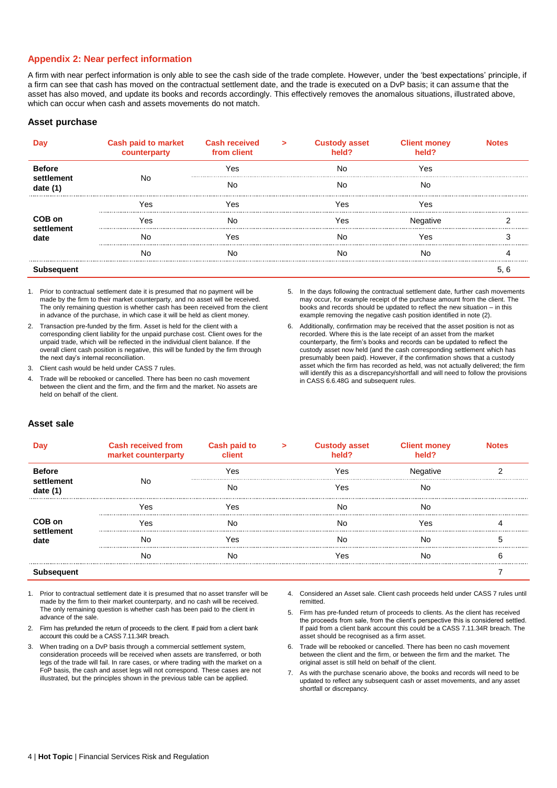## **Appendix 2: Near perfect information**

A firm with near perfect information is only able to see the cash side of the trade complete. However, under the 'best expectations' principle, if a firm can see that cash has moved on the contractual settlement date, and the trade is executed on a DvP basis; it can assume that the asset has also moved, and update its books and records accordingly. This effectively removes the anomalous situations, illustrated above, which can occur when cash and assets movements do not match.

#### **Asset purchase**

|                          | <b>Cash paid to market</b><br>counterparty | <b>Cash received</b><br>from client | $\geq$ | <b>Custody asset</b> | <b>Client money</b><br>held? |  |
|--------------------------|--------------------------------------------|-------------------------------------|--------|----------------------|------------------------------|--|
| <b>Before</b>            |                                            | Yes                                 |        | No                   | Yes                          |  |
| settlement<br>date $(1)$ | No                                         | No                                  |        | Nο                   | Nc                           |  |
|                          | Yes                                        | Yes                                 |        | es /                 | res                          |  |
| COB on                   | Yes                                        | Nο                                  |        | 'es                  |                              |  |
| settlement<br>date       | No                                         | Yes                                 |        | Nc                   | res                          |  |
|                          | N٥                                         | Nο                                  |        | Nc                   | NС                           |  |
|                          |                                            |                                     |        |                      |                              |  |

1. Prior to contractual settlement date it is presumed that no payment will be made by the firm to their market counterparty, and no asset will be received. The only remaining question is whether cash has been received from the client in advance of the purchase, in which case it will be held as client money.

2. Transaction pre-funded by the firm. Asset is held for the client with a corresponding client liability for the unpaid purchase cost. Client owes for the unpaid trade, which will be reflected in the individual client balance. If the overall client cash position is negative, this will be funded by the firm through the next day's internal reconciliation.

- 3. Client cash would be held under CASS 7 rules.
- 4. Trade will be rebooked or cancelled. There has been no cash movement between the client and the firm, and the firm and the market. No assets are held on behalf of the client.

5. In the days following the contractual settlement date, further cash movements may occur, for example receipt of the purchase amount from the client. The books and records should be updated to reflect the new situation – in this example removing the negative cash position identified in note (2).

6. Additionally, confirmation may be received that the asset position is not as recorded. Where this is the late receipt of an asset from the market counterparty, the firm's books and records can be updated to reflect the custody asset now held (and the cash corresponding settlement which has presumably been paid). However, if the confirmation shows that a custody asset which the firm has recorded as held, was not actually delivered; the firm will identify this as a discrepancy/shortfall and will need to follow the provisions in CASS 6.6.48G and subsequent rules.

## **Asset sale**

|                          | Cash received from<br>market counterparty | Cash paid to |  | <b>Custody asset</b> | <b>Client money</b><br><b>held?</b> |  |
|--------------------------|-------------------------------------------|--------------|--|----------------------|-------------------------------------|--|
| <b>Before</b>            |                                           | Yes          |  | Yes                  | Negative                            |  |
| settlement<br>date $(1)$ | No                                        | Nο           |  | res                  | Nc                                  |  |
|                          | Yes                                       | 'es          |  | N٢                   | Nc                                  |  |
| COB on                   | res                                       | Nο           |  | Nο                   | res                                 |  |
| settlement<br>date       | Nc                                        | es /         |  | Nc                   | N٢                                  |  |
|                          | No                                        | Nc           |  | 'es                  | NC                                  |  |
|                          |                                           |              |  |                      |                                     |  |

- 1. Prior to contractual settlement date it is presumed that no asset transfer will be made by the firm to their market counterparty, and no cash will be received. The only remaining question is whether cash has been paid to the client in advance of the sale.
- 2. Firm has prefunded the return of proceeds to the client. If paid from a client bank account this could be a CASS 7.11.34R breach.
- 3. When trading on a DvP basis through a commercial settlement system, consideration proceeds will be received when assets are transferred, or both legs of the trade will fail. In rare cases, or where trading with the market on a FoP basis, the cash and asset legs will not correspond. These cases are not illustrated, but the principles shown in the previous table can be applied.
- 4. Considered an Asset sale. Client cash proceeds held under CASS 7 rules until remitted.
- 5. Firm has pre-funded return of proceeds to clients. As the client has received the proceeds from sale, from the client's perspective this is considered settled. If paid from a client bank account this could be a CASS 7.11.34R breach. The asset should be recognised as a firm asset.
- 6. Trade will be rebooked or cancelled. There has been no cash movement between the client and the firm, or between the firm and the market. The original asset is still held on behalf of the client.
- 7. As with the purchase scenario above, the books and records will need to be updated to reflect any subsequent cash or asset movements, and any asset shortfall or discrepancy.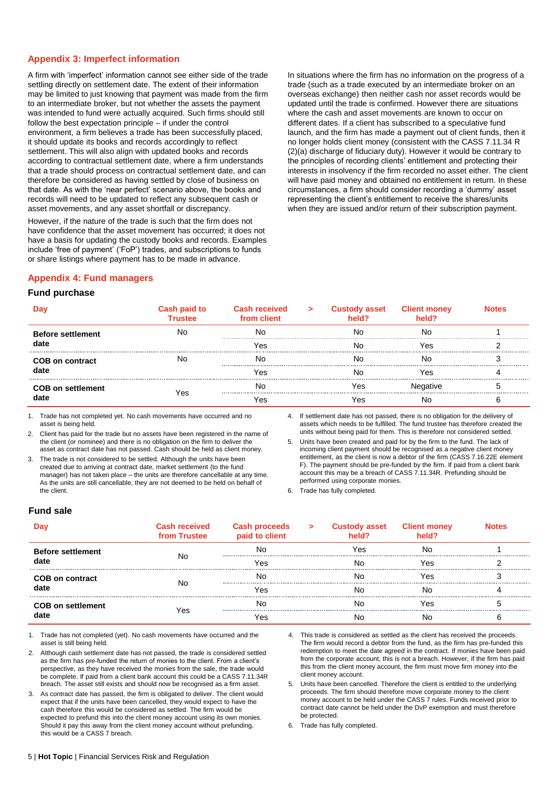## **Appendix 3: Imperfect information**

A firm with 'imperfect' information cannot see either side of the trade settling directly on settlement date. The extent of their information may be limited to just knowing that payment was made from the firm to an intermediate broker, but not whether the assets the payment was intended to fund were actually acquired. Such firms should still follow the best expectation principle – if under the control environment, a firm believes a trade has been successfully placed, it should update its books and records accordingly to reflect settlement. This will also align with updated books and records according to contractual settlement date, where a firm understands that a trade should process on contractual settlement date, and can therefore be considered as having settled by close of business on that date. As with the 'near perfect' scenario above, the books and records will need to be updated to reflect any subsequent cash or asset movements, and any asset shortfall or discrepancy.

However, if the nature of the trade is such that the firm does not have confidence that the asset movement has occurred; it does not have a basis for updating the custody books and records. Examples include 'free of payment' ('FoP') trades, and subscriptions to funds or share listings where payment has to be made in advance.

In situations where the firm has no information on the progress of a trade (such as a trade executed by an intermediate broker on an overseas exchange) then neither cash nor asset records would be updated until the trade is confirmed. However there are situations where the cash and asset movements are known to occur on different dates. If a client has subscribed to a speculative fund launch, and the firm has made a payment out of client funds, then it no longer holds client money (consistent with the CASS 7.11.34 R (2)(a) discharge of fiduciary duty). However it would be contrary to the principles of recording clients' entitlement and protecting their interests in insolvency if the firm recorded no asset either. The client will have paid money and obtained no entitlement in return. In these circumstances, a firm should consider recording a 'dummy' asset representing the client's entitlement to receive the shares/units when they are issued and/or return of their subscription payment.

## **Appendix 4: Fund managers**

#### **Fund purchase**

|                          | <b>Cash paid to</b><br><b>Trustee</b> | <b>Cash received</b><br>from client | $\geq$ | <b>Custody asset</b> | <b>Client money</b> |  |
|--------------------------|---------------------------------------|-------------------------------------|--------|----------------------|---------------------|--|
| <b>Before settlement</b> |                                       | Nc                                  |        |                      | NC                  |  |
| date                     |                                       | Yes                                 |        |                      | 7es                 |  |
| <b>COB on contract</b>   |                                       | Nc                                  |        |                      | NC                  |  |
| date                     |                                       | 7es                                 |        |                      | /es                 |  |
| <b>COB on settlement</b> |                                       | Nc                                  |        | es.                  | native              |  |
| date                     | res                                   | Yes                                 |        |                      |                     |  |

1. Trade has not completed yet. No cash movements have occurred and no asset is being held.

2. Client has paid for the trade but no assets have been registered in the name of the client (or nominee) and there is no obligation on the firm to deliver the asset as contract date has not passed. Cash should be held as client money.

3. The trade is not considered to be settled. Although the units have been created due to arriving at contract date, market settlement (to the fund manager) has not taken place – the units are therefore cancellable at any time. As the units are still cancellable, they are not deemed to be held on behalf of the client.

4. If settlement date has not passed, there is no obligation for the delivery of assets which needs to be fulfilled. The fund trustee has therefore created the units without being paid for them. This is therefore not considered settled.

5. Units have been created and paid for by the firm to the fund. The lack of incoming client payment should be recognised as a negative client money entitlement, as the client is now a debtor of the firm (CASS 7.16.22E element F). The payment should be pre-funded by the firm. If paid from a client bank account this may be a breach of CASS 7.11.34R. Prefunding should be performed using corporate monies.

6. Trade has fully completed.

#### **Fund sale**

|                          | <b>Cash received</b><br>from Trustee | <b>Cash proceeds</b><br>paid to client | $\geq$ | <b>Custody asset</b> | <b>Client money</b> | Notes |
|--------------------------|--------------------------------------|----------------------------------------|--------|----------------------|---------------------|-------|
| <b>Before settlement</b> | No                                   | Nc.                                    |        | 'es                  | Nc                  |       |
| date                     |                                      | Yes                                    |        |                      | res                 |       |
| <b>COB on contract</b>   | No                                   |                                        |        |                      | 'es                 |       |
| date                     |                                      | 'es                                    |        |                      | NC                  |       |
| <b>COB on settlement</b> | res                                  |                                        |        |                      | ۵۹٬                 |       |
|                          |                                      | 'es                                    |        |                      |                     |       |

1. Trade has not completed (yet). No cash movements have occurred and the asset is still being held.

2. Although cash settlement date has not passed, the trade is considered settled as the firm has pre-funded the return of monies to the client. From a client's perspective, as they have received the monies from the sale, the trade would be complete. If paid from a client bank account this could be a CASS 7.11.34R breach. The asset still exists and should now be recognised as a firm asset.

3. As contract date has passed, the firm is obligated to deliver. The client would expect that if the units have been cancelled, they would expect to have the cash therefore this would be considered as settled. The firm would be expected to prefund this into the client money account using its own monies. Should it pay this away from the client money account without prefunding, this would be a CASS 7 breach.

- 4. This trade is considered as settled as the client has received the proceeds. The firm would record a debtor from the fund, as the firm has pre-funded this redemption to meet the date agreed in the contract. If monies have been paid from the corporate account, this is not a breach. However, if the firm has paid this from the client money account, the firm must move firm money into the client money account.
- 5. Units have been cancelled. Therefore the client is entitled to the underlying proceeds. The firm should therefore move corporate money to the client money account to be held under the CASS 7 rules. Funds received prior to contract date cannot be held under the DvP exemption and must therefore be protected.

6. Trade has fully completed.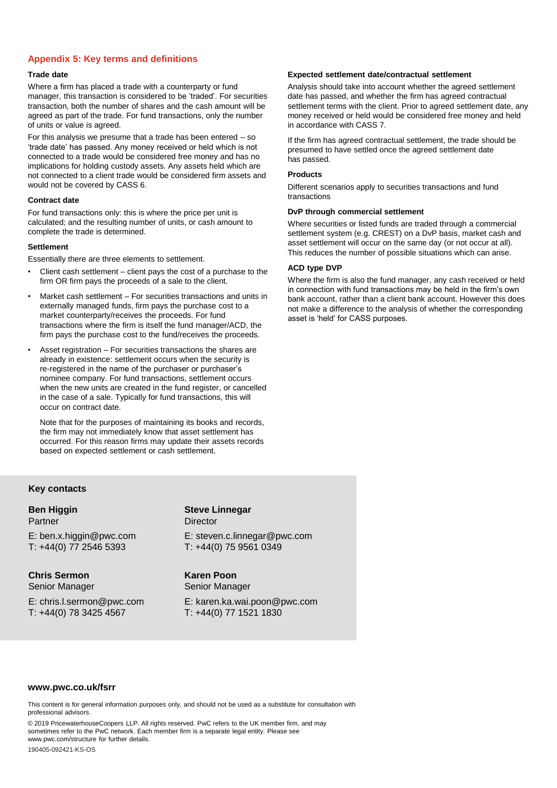## **Appendix 5: Key terms and definitions**

#### **Trade date**

Where a firm has placed a trade with a counterparty or fund manager, this transaction is considered to be 'traded'. For securities transaction, both the number of shares and the cash amount will be agreed as part of the trade. For fund transactions, only the number of units or value is agreed.

For this analysis we presume that a trade has been entered – so 'trade date' has passed. Any money received or held which is not connected to a trade would be considered free money and has no implications for holding custody assets. Any assets held which are not connected to a client trade would be considered firm assets and would not be covered by CASS 6.

#### **Contract date**

For fund transactions only: this is where the price per unit is calculated; and the resulting number of units, or cash amount to complete the trade is determined.

#### **Settlement**

Essentially there are three elements to settlement.

- Client cash settlement client pays the cost of a purchase to the firm OR firm pays the proceeds of a sale to the client.
- Market cash settlement For securities transactions and units in externally managed funds, firm pays the purchase cost to a market counterparty/receives the proceeds. For fund transactions where the firm is itself the fund manager/ACD, the firm pays the purchase cost to the fund/receives the proceeds.
- Asset registration For securities transactions the shares are already in existence: settlement occurs when the security is re-registered in the name of the purchaser or purchaser's nominee company. For fund transactions, settlement occurs when the new units are created in the fund register, or cancelled in the case of a sale. Typically for fund transactions, this will occur on contract date.

Note that for the purposes of maintaining its books and records, the firm may not immediately know that asset settlement has occurred. For this reason firms may update their assets records based on expected settlement or cash settlement.

#### **Expected settlement date/contractual settlement**

Analysis should take into account whether the agreed settlement date has passed, and whether the firm has agreed contractual settlement terms with the client. Prior to agreed settlement date, any money received or held would be considered free money and held in accordance with CASS 7.

If the firm has agreed contractual settlement, the trade should be presumed to have settled once the agreed settlement date has passed.

#### **Products**

Different scenarios apply to securities transactions and fund transactions

#### **DvP through commercial settlement**

Where securities or listed funds are traded through a commercial settlement system (e.g. CREST) on a DvP basis, market cash and asset settlement will occur on the same day (or not occur at all). This reduces the number of possible situations which can arise.

#### **ACD type DVP**

Where the firm is also the fund manager, any cash received or held in connection with fund transactions may be held in the firm's own bank account, rather than a client bank account. However this does not make a difference to the analysis of whether the corresponding asset is 'held' for CASS purposes.

#### **Key contacts**

## **Ben Higgin** Partner E: ben.x.higgin@pwc.com

T: +44(0) 77 2546 5393

**Chris Sermon** Senior Manager

E: chris.l.sermon@pwc.com T: +44(0) 78 3425 4567

## **Steve Linnegar Director** E: steven.c.linnegar@pwc.com T: +44(0) 75 9561 0349

## **Karen Poon** Senior Manager

E: karen.ka.wai.poon@pwc.com T: +44(0) 77 1521 1830

#### **www.pwc.co.uk/fsrr**

This content is for general information purposes only, and should not be used as a substitute for consultation with professional advisors.

© 2019 PricewaterhouseCoopers LLP. All rights reserved. PwC refers to the UK member firm, and may sometimes refer to the PwC network. Each member firm is a separate legal entity. Please see www.pwc.com/structure for further details.